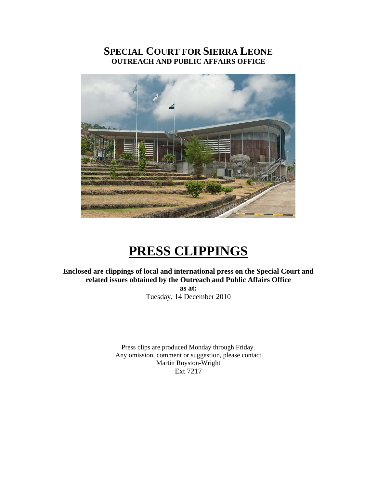# **SPECIAL COURT FOR SIERRA LEONE OUTREACH AND PUBLIC AFFAIRS OFFICE**



# **PRESS CLIPPINGS**

# **Enclosed are clippings of local and international press on the Special Court and related issues obtained by the Outreach and Public Affairs Office**

**as at:**  Tuesday, 14 December 2010

Press clips are produced Monday through Friday. Any omission, comment or suggestion, please contact Martin Royston-Wright Ext 7217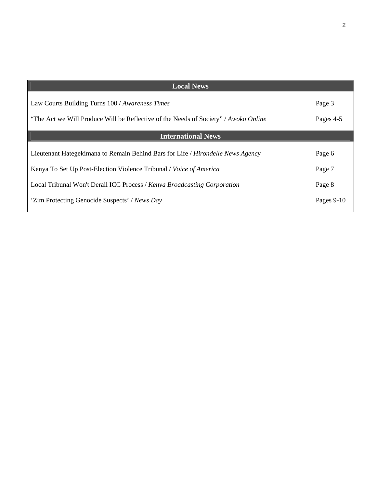| <b>Local News</b>                                                                      |            |
|----------------------------------------------------------------------------------------|------------|
| Law Courts Building Turns 100 / Awareness Times                                        | Page 3     |
| "The Act we Will Produce Will be Reflective of the Needs of Society" / Awoko Online    | Pages 4-5  |
| <b>International News</b>                                                              |            |
| Lieutenant Hategekimana to Remain Behind Bars for Life / <i>Hirondelle News Agency</i> | Page 6     |
| Kenya To Set Up Post-Election Violence Tribunal / Voice of America                     | Page 7     |
| Local Tribunal Won't Derail ICC Process / Kenya Broadcasting Corporation               | Page 8     |
| 'Zim Protecting Genocide Suspects' / News Day                                          | Pages 9-10 |

 $\sqrt{2}$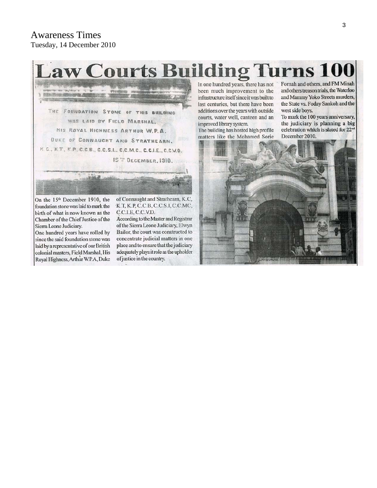# **Awareness Times** Tuesday, 14 December 2010

# **Law Courts Building Turns 100**

THE FOUNDATION STONE OF THIS BUILDING WAS LAID BY FIELD MARSHAL. HIS ROYAL HIGHNESS ARTHUR W.P.A. DUKE OF CONNAUCHT AND STRATHEARN. K.C., K.T., K.P., C.C.B., C.C.S.I., C.C.M.C., C.C.I.E., C.C.V.O. IS" DECEMBER, 1910.

On the 15<sup>th</sup> December 1910, the foundation stone was laid to mark the birth of what is now known as the Chamber of the Chief Justice of the Sierra Leone Judiciary.

One hundred years have rolled by since the said foundation stone was laid by a representative of our British colonial masters, Field Marshal, His Royal Highness, Arthur W.P.A, Duke of Connaught and Strathearn, K.C. K.T, K.P, C.C.B, C.C.S.I, C.C.MC, C.C.I.E, C.C.V.D.

According to the Master and Registrar of the Sierra Leone Judiciary, Elwyn Bailor, the court was constructed to concentrate judicial matters in one place and to ensure that the judiciary adequately plays it role as the upholder of justice in the country.

In one hundred years, there has not been much improvement to the infrastructure itself since it was built to last centuries, but there have been additions over the years with outside courts, water well, canteen and an improved library system.

The building has hosted high profile matters like the Mohamed Sorie

Fornah and others, and FM Minah and others treason trials, the Waterloo and Mammy Yoko Streets murders, the State vs. Foday Sankoh and the west side boys.

To mark the 100 years anniversary, the judiciary is planning a big celebration which is slated for 22<sup>nd</sup> December 2010.

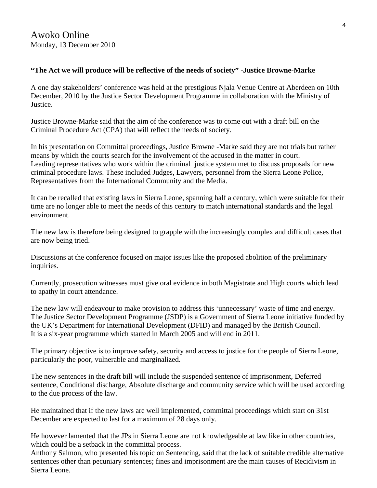## **"The Act we will produce will be reflective of the needs of society" -Justice Browne-Marke**

A one day stakeholders' conference was held at the prestigious Njala Venue Centre at Aberdeen on 10th December, 2010 by the Justice Sector Development Programme in collaboration with the Ministry of Justice.

Justice Browne-Marke said that the aim of the conference was to come out with a draft bill on the Criminal Procedure Act (CPA) that will reflect the needs of society.

In his presentation on Committal proceedings, Justice Browne -Marke said they are not trials but rather means by which the courts search for the involvement of the accused in the matter in court. Leading representatives who work within the criminal justice system met to discuss proposals for new criminal procedure laws. These included Judges, Lawyers, personnel from the Sierra Leone Police, Representatives from the International Community and the Media.

It can be recalled that existing laws in Sierra Leone, spanning half a century, which were suitable for their time are no longer able to meet the needs of this century to match international standards and the legal environment.

The new law is therefore being designed to grapple with the increasingly complex and difficult cases that are now being tried.

Discussions at the conference focused on major issues like the proposed abolition of the preliminary inquiries.

Currently, prosecution witnesses must give oral evidence in both Magistrate and High courts which lead to apathy in court attendance.

The new law will endeavour to make provision to address this 'unnecessary' waste of time and energy. The Justice Sector Development Programme (JSDP) is a Government of Sierra Leone initiative funded by the UK's Department for International Development (DFID) and managed by the British Council. It is a six-year programme which started in March 2005 and will end in 2011.

The primary objective is to improve safety, security and access to justice for the people of Sierra Leone, particularly the poor, vulnerable and marginalized.

The new sentences in the draft bill will include the suspended sentence of imprisonment, Deferred sentence, Conditional discharge, Absolute discharge and community service which will be used according to the due process of the law.

He maintained that if the new laws are well implemented, committal proceedings which start on 31st December are expected to last for a maximum of 28 days only.

He however lamented that the JPs in Sierra Leone are not knowledgeable at law like in other countries, which could be a setback in the committal process.

Anthony Salmon, who presented his topic on Sentencing, said that the lack of suitable credible alternative sentences other than pecuniary sentences; fines and imprisonment are the main causes of Recidivism in Sierra Leone.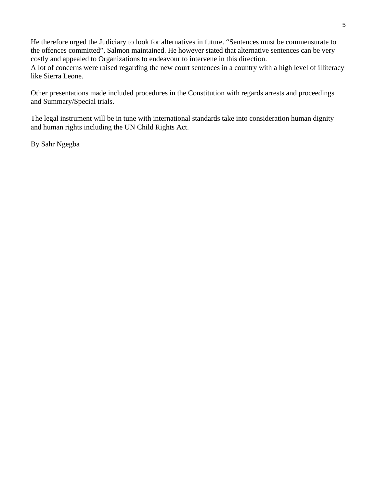He therefore urged the Judiciary to look for alternatives in future. "Sentences must be commensurate to the offences committed", Salmon maintained. He however stated that alternative sentences can be very costly and appealed to Organizations to endeavour to intervene in this direction. A lot of concerns were raised regarding the new court sentences in a country with a high level of illiteracy like Sierra Leone.

Other presentations made included procedures in the Constitution with regards arrests and proceedings and Summary/Special trials.

The legal instrument will be in tune with international standards take into consideration human dignity and human rights including the UN Child Rights Act.

By Sahr Ngegba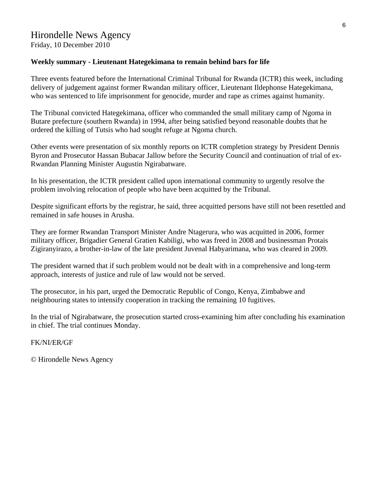#### **Weekly summary - Lieutenant Hategekimana to remain behind bars for life**

Three events featured before the International Criminal Tribunal for Rwanda (ICTR) this week, including delivery of judgement against former Rwandan military officer, Lieutenant Ildephonse Hategekimana, who was sentenced to life imprisonment for genocide, murder and rape as crimes against humanity.

The Tribunal convicted Hategekimana, officer who commanded the small military camp of Ngoma in Butare prefecture (southern Rwanda) in 1994, after being satisfied beyond reasonable doubts that he ordered the killing of Tutsis who had sought refuge at Ngoma church.

Other events were presentation of six monthly reports on ICTR completion strategy by President Dennis Byron and Prosecutor Hassan Bubacar Jallow before the Security Council and continuation of trial of ex-Rwandan Planning Minister Augustin Ngirabatware.

In his presentation, the ICTR president called upon international community to urgently resolve the problem involving relocation of people who have been acquitted by the Tribunal.

Despite significant efforts by the registrar, he said, three acquitted persons have still not been resettled and remained in safe houses in Arusha.

They are former Rwandan Transport Minister Andre Ntagerura, who was acquitted in 2006, former military officer, Brigadier General Gratien Kabiligi, who was freed in 2008 and businessman Protais Zigiranyirazo, a brother-in-law of the late president Juvenal Habyarimana, who was cleared in 2009.

The president warned that if such problem would not be dealt with in a comprehensive and long-term approach, interests of justice and rule of law would not be served.

The prosecutor, in his part, urged the Democratic Republic of Congo, Kenya, Zimbabwe and neighbouring states to intensify cooperation in tracking the remaining 10 fugitives.

In the trial of Ngirabatware, the prosecution started cross-examining him after concluding his examination in chief. The trial continues Monday.

#### FK/NI/ER/GF

© Hirondelle News Agency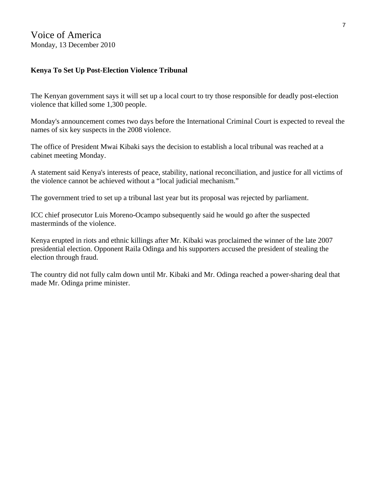## **Kenya To Set Up Post-Election Violence Tribunal**

The Kenyan government says it will set up a local court to try those responsible for deadly post-election violence that killed some 1,300 people.

Monday's announcement comes two days before the International Criminal Court is expected to reveal the names of six key suspects in the 2008 violence.

The office of President Mwai Kibaki says the decision to establish a local tribunal was reached at a cabinet meeting Monday.

A statement said Kenya's interests of peace, stability, national reconciliation, and justice for all victims of the violence cannot be achieved without a "local judicial mechanism."

The government tried to set up a tribunal last year but its proposal was rejected by parliament.

ICC chief prosecutor Luis Moreno-Ocampo subsequently said he would go after the suspected masterminds of the violence.

Kenya erupted in riots and ethnic killings after Mr. Kibaki was proclaimed the winner of the late 2007 presidential election. Opponent Raila Odinga and his supporters accused the president of stealing the election through fraud.

The country did not fully calm down until Mr. Kibaki and Mr. Odinga reached a power-sharing deal that made Mr. Odinga prime minister.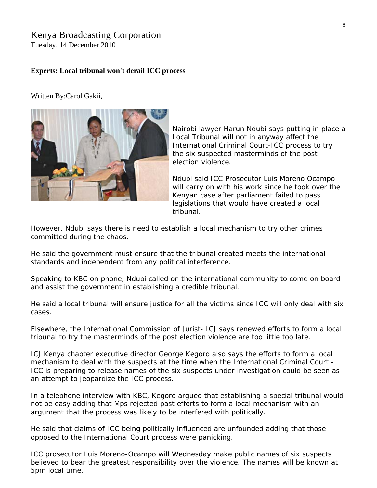# Kenya Broadcasting Corporation

Tuesday, 14 December 2010

#### **Experts: Local tribunal won't derail ICC process**

Written By:Carol Gakii,



Nairobi lawyer Harun Ndubi says putting in place a Local Tribunal will not in anyway affect the International Criminal Court-ICC process to try the six suspected masterminds of the post election violence.

Ndubi said ICC Prosecutor Luis Moreno Ocampo will carry on with his work since he took over the Kenyan case after parliament failed to pass legislations that would have created a local tribunal.

However, Ndubi says there is need to establish a local mechanism to try other crimes committed during the chaos.

He said the government must ensure that the tribunal created meets the international standards and independent from any political interference.

Speaking to KBC on phone, Ndubi called on the international community to come on board and assist the government in establishing a credible tribunal.

He said a local tribunal will ensure justice for all the victims since ICC will only deal with six cases.

Elsewhere, the International Commission of Jurist- ICJ says renewed efforts to form a local tribunal to try the masterminds of the post election violence are too little too late.

ICJ Kenya chapter executive director George Kegoro also says the efforts to form a local mechanism to deal with the suspects at the time when the International Criminal Court - ICC is preparing to release names of the six suspects under investigation could be seen as an attempt to jeopardize the ICC process.

In a telephone interview with KBC, Kegoro argued that establishing a special tribunal would not be easy adding that Mps rejected past efforts to form a local mechanism with an argument that the process was likely to be interfered with politically.

He said that claims of ICC being politically influenced are unfounded adding that those opposed to the International Court process were panicking.

ICC prosecutor Luis Moreno-Ocampo will Wednesday make public names of six suspects believed to bear the greatest responsibility over the violence. The names will be known at 5pm local time.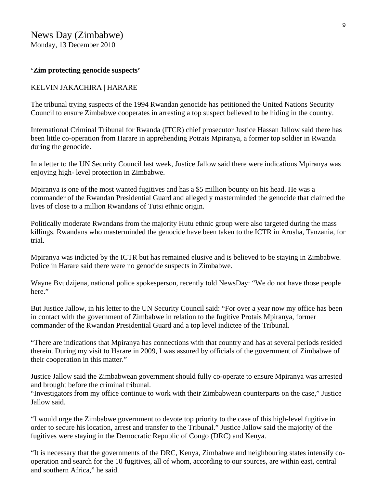News Day (Zimbabwe) Monday, 13 December 2010

#### **'Zim protecting genocide suspects'**

#### KELVIN JAKACHIRA | HARARE

The tribunal trying suspects of the 1994 Rwandan genocide has petitioned the United Nations Security Council to ensure Zimbabwe cooperates in arresting a top suspect believed to be hiding in the country.

International Criminal Tribunal for Rwanda (ITCR) chief prosecutor Justice Hassan Jallow said there has been little co-operation from Harare in apprehending Potrais Mpiranya, a former top soldier in Rwanda during the genocide.

In a letter to the UN Security Council last week, Justice Jallow said there were indications Mpiranya was enjoying high- level protection in Zimbabwe.

Mpiranya is one of the most wanted fugitives and has a \$5 million bounty on his head. He was a commander of the Rwandan Presidential Guard and allegedly masterminded the genocide that claimed the lives of close to a million Rwandans of Tutsi ethnic origin.

Politically moderate Rwandans from the majority Hutu ethnic group were also targeted during the mass killings. Rwandans who masterminded the genocide have been taken to the ICTR in Arusha, Tanzania, for trial.

Mpiranya was indicted by the ICTR but has remained elusive and is believed to be staying in Zimbabwe. Police in Harare said there were no genocide suspects in Zimbabwe.

Wayne Bvudzijena, national police spokesperson, recently told NewsDay: "We do not have those people here."

But Justice Jallow, in his letter to the UN Security Council said: "For over a year now my office has been in contact with the government of Zimbabwe in relation to the fugitive Protais Mpiranya, former commander of the Rwandan Presidential Guard and a top level indictee of the Tribunal.

"There are indications that Mpiranya has connections with that country and has at several periods resided therein. During my visit to Harare in 2009, I was assured by officials of the government of Zimbabwe of their cooperation in this matter."

Justice Jallow said the Zimbabwean government should fully co-operate to ensure Mpiranya was arrested and brought before the criminal tribunal.

"Investigators from my office continue to work with their Zimbabwean counterparts on the case," Justice Jallow said.

"I would urge the Zimbabwe government to devote top priority to the case of this high-level fugitive in order to secure his location, arrest and transfer to the Tribunal." Justice Jallow said the majority of the fugitives were staying in the Democratic Republic of Congo (DRC) and Kenya.

"It is necessary that the governments of the DRC, Kenya, Zimbabwe and neighbouring states intensify cooperation and search for the 10 fugitives, all of whom, according to our sources, are within east, central and southern Africa," he said.